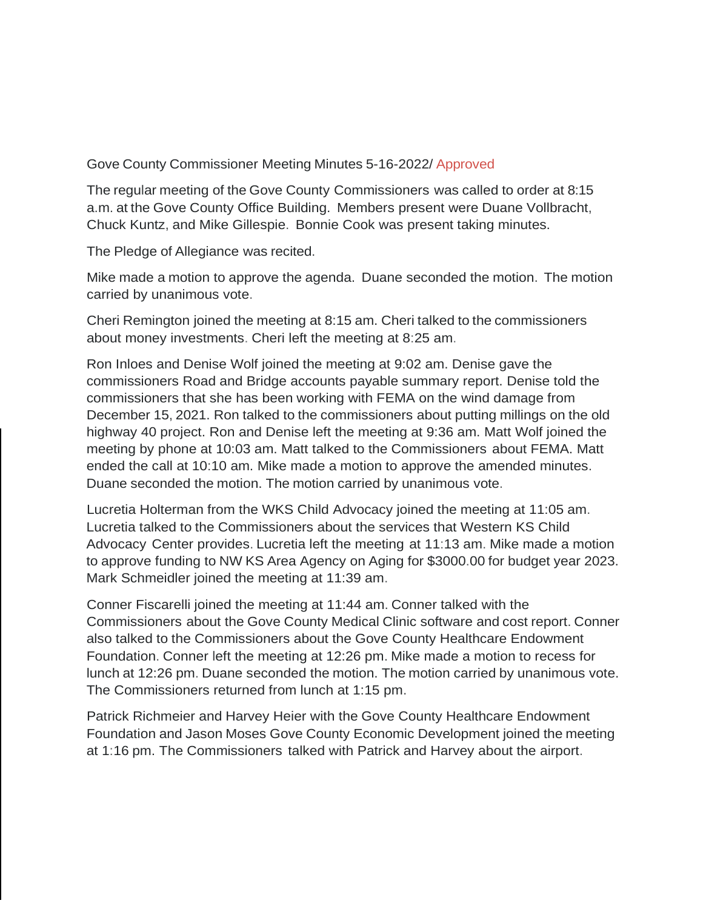Gove County Commissioner Meeting Minutes 5-16-2022/ Approved

The regular meeting of the Gove County Commissioners was called to order at 8:15 a.m. at the Gove County Office Building. Members present were Duane Vollbracht, Chuck Kuntz, and Mike Gillespie. Bonnie Cook was present taking minutes.

The Pledge of Allegiance was recited.

Mike made a motion to approve the agenda. Duane seconded the motion. The motion carried by unanimous vote.

Cheri Remington joined the meeting at 8:15 am. Cheri talked to the commissioners about money investments. Cheri left the meeting at 8:25 am.

Ron Inloes and Denise Wolf joined the meeting at 9:02 am. Denise gave the commissioners Road and Bridge accounts payable summary report. Denise told the commissioners that she has been working with FEMA on the wind damage from December 15, 2021. Ron talked to the commissioners about putting millings on the old highway 40 project. Ron and Denise left the meeting at 9:36 am. Matt Wolf joined the meeting by phone at 10:03 am. Matt talked to the Commissioners about FEMA. Matt ended the call at 10:10 am. Mike made a motion to approve the amended minutes. Duane seconded the motion. The motion carried by unanimous vote.

Lucretia Holterman from the WKS Child Advocacy joined the meeting at 11:05 am. Lucretia talked to the Commissioners about the services that Western KS Child Advocacy Center provides. Lucretia left the meeting at 11:13 am. Mike made a motion to approve funding to NW KS Area Agency on Aging for \$3000.00 for budget year 2023. Mark Schmeidler joined the meeting at 11:39 am.

Conner Fiscarelli joined the meeting at 11:44 am. Conner talked with the Commissioners about the Gove County Medical Clinic software and cost report. Conner also talked to the Commissioners about the Gove County Healthcare Endowment Foundation. Conner left the meeting at 12:26 pm. Mike made a motion to recess for lunch at 12:26 pm. Duane seconded the motion. The motion carried by unanimous vote. The Commissioners returned from lunch at 1:15 pm.

Patrick Richmeier and Harvey Heier with the Gove County Healthcare Endowment Foundation and Jason Moses Gove County Economic Development joined the meeting at 1:16 pm. The Commissioners talked with Patrick and Harvey about the airport.